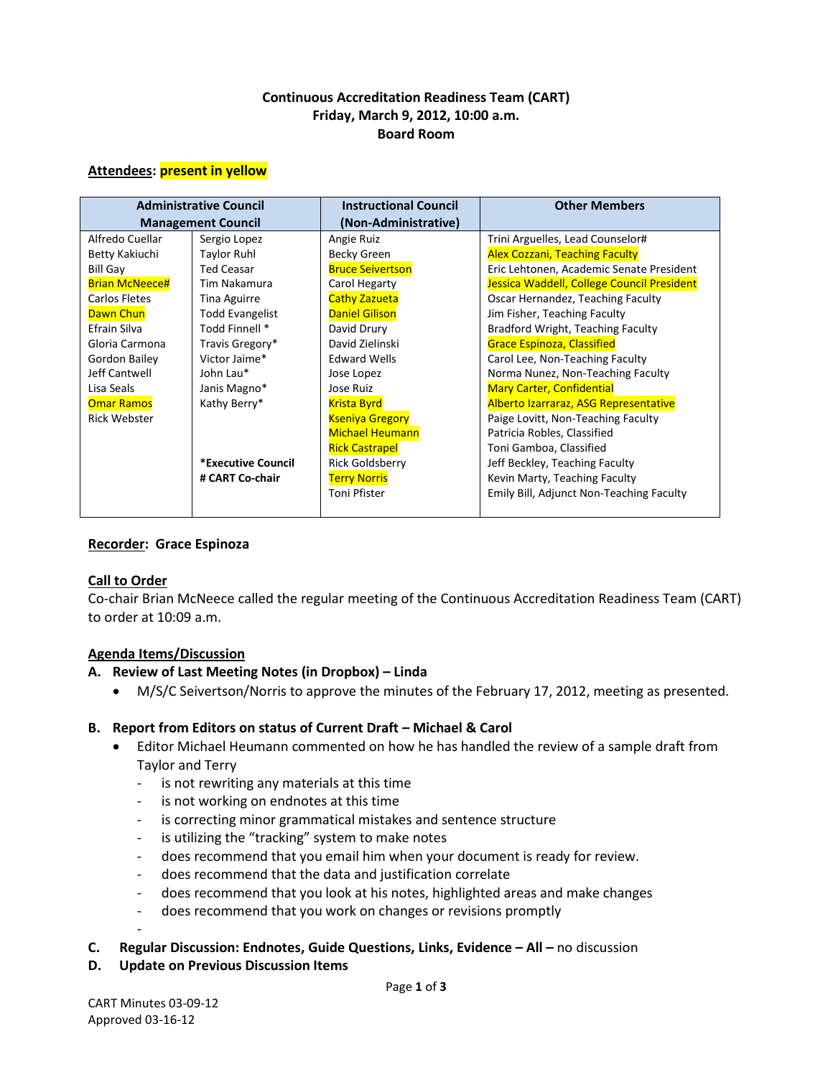## **Continuous Accreditation Readiness Team (CART) Friday, March 9, 2012, 10:00 a.m. Board Room**

#### **Attendees: present in yellow**

| <b>Administrative Council</b> |                        | <b>Instructional Council</b> | <b>Other Members</b>                       |
|-------------------------------|------------------------|------------------------------|--------------------------------------------|
| <b>Management Council</b>     |                        | (Non-Administrative)         |                                            |
| Alfredo Cuellar               | Sergio Lopez           | Angie Ruiz                   | Trini Arguelles, Lead Counselor#           |
| Betty Kakiuchi                | <b>Taylor Ruhl</b>     | <b>Becky Green</b>           | <b>Alex Cozzani, Teaching Faculty</b>      |
| <b>Bill Gay</b>               | <b>Ted Ceasar</b>      | <b>Bruce Seivertson</b>      | Eric Lehtonen, Academic Senate President   |
| <b>Brian McNeece#</b>         | Tim Nakamura           | Carol Hegarty                | Jessica Waddell, College Council President |
| Carlos Fletes                 | Tina Aguirre           | <b>Cathy Zazueta</b>         | Oscar Hernandez, Teaching Faculty          |
| <b>Dawn Chun</b>              | <b>Todd Evangelist</b> | <b>Daniel Gilison</b>        | Jim Fisher, Teaching Faculty               |
| Efrain Silva                  | Todd Finnell *         | David Drury                  | Bradford Wright, Teaching Faculty          |
| Gloria Carmona                | Travis Gregory*        | David Zielinski              | <b>Grace Espinoza, Classified</b>          |
| Gordon Bailey                 | Victor Jaime*          | <b>Edward Wells</b>          | Carol Lee, Non-Teaching Faculty            |
| Jeff Cantwell                 | John Lau*              | Jose Lopez                   | Norma Nunez, Non-Teaching Faculty          |
| Lisa Seals                    | Janis Magno*           | Jose Ruiz                    | <b>Mary Carter, Confidential</b>           |
| <b>Omar Ramos</b>             | Kathy Berry*           | <b>Krista Byrd</b>           | Alberto Izarraraz, ASG Representative      |
| <b>Rick Webster</b>           |                        | <b>Kseniya Gregory</b>       | Paige Lovitt, Non-Teaching Faculty         |
|                               |                        | <b>Michael Heumann</b>       | Patricia Robles, Classified                |
|                               |                        | <b>Rick Castrapel</b>        | Toni Gamboa, Classified                    |
|                               | *Executive Council     | <b>Rick Goldsberry</b>       | Jeff Beckley, Teaching Faculty             |
|                               | # CART Co-chair        | <b>Terry Norris</b>          | Kevin Marty, Teaching Faculty              |
|                               |                        | Toni Pfister                 | Emily Bill, Adjunct Non-Teaching Faculty   |

### **Recorder: Grace Espinoza**

### **Call to Order**

Co-chair Brian McNeece called the regular meeting of the Continuous Accreditation Readiness Team (CART) to order at 10:09 a.m.

## **Agenda Items/Discussion**

### **A. Review of Last Meeting Notes (in Dropbox) – Linda**

• M/S/C Seivertson/Norris to approve the minutes of the February 17, 2012, meeting as presented.

### **B. Report from Editors on status of Current Draft – Michael & Carol**

- Editor Michael Heumann commented on how he has handled the review of a sample draft from Taylor and Terry
	- is not rewriting any materials at this time
	- is not working on endnotes at this time
	- is correcting minor grammatical mistakes and sentence structure
	- is utilizing the "tracking" system to make notes
	- does recommend that you email him when your document is ready for review.
	- does recommend that the data and justification correlate
	- does recommend that you look at his notes, highlighted areas and make changes
	- does recommend that you work on changes or revisions promptly
	- -
- **C. Regular Discussion: Endnotes, Guide Questions, Links, Evidence – All –** no discussion
- **D. Update on Previous Discussion Items**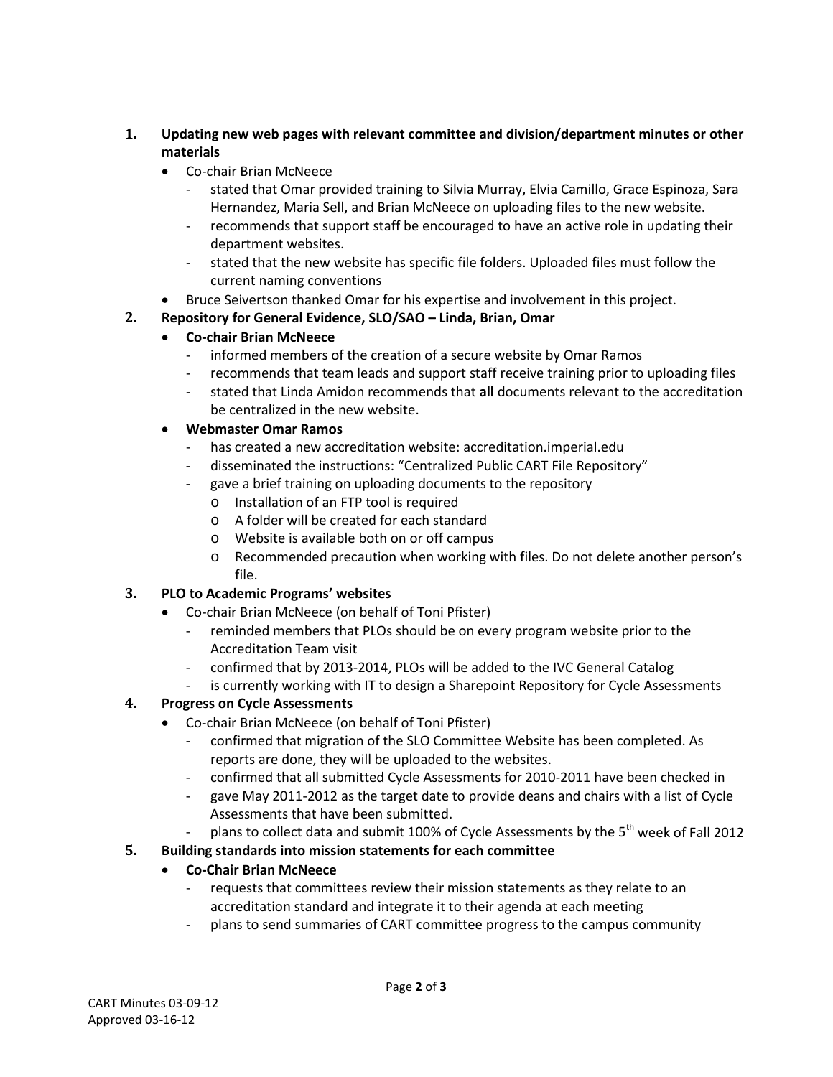- **1. Updating new web pages with relevant committee and division/department minutes or other materials** 
	- Co-chair Brian McNeece
		- stated that Omar provided training to Silvia Murray, Elvia Camillo, Grace Espinoza, Sara Hernandez, Maria Sell, and Brian McNeece on uploading files to the new website.
		- recommends that support staff be encouraged to have an active role in updating their department websites.
		- stated that the new website has specific file folders. Uploaded files must follow the current naming conventions
	- Bruce Seivertson thanked Omar for his expertise and involvement in this project.

# **2. Repository for General Evidence, SLO/SAO – Linda, Brian, Omar**

# • **Co-chair Brian McNeece**

- informed members of the creation of a secure website by Omar Ramos
- recommends that team leads and support staff receive training prior to uploading files
- stated that Linda Amidon recommends that **all** documents relevant to the accreditation be centralized in the new website.

## • **Webmaster Omar Ramos**

- has created a new accreditation website: accreditation.imperial.edu
- disseminated the instructions: "Centralized Public CART File Repository"
- gave a brief training on uploading documents to the repository
	- o Installation of an FTP tool is required
	- o A folder will be created for each standard
	- o Website is available both on or off campus
	- o Recommended precaution when working with files. Do not delete another person's file.

# **3. PLO to Academic Programs' websites**

- Co-chair Brian McNeece (on behalf of Toni Pfister)
	- reminded members that PLOs should be on every program website prior to the Accreditation Team visit
	- confirmed that by 2013-2014, PLOs will be added to the IVC General Catalog
	- is currently working with IT to design a Sharepoint Repository for Cycle Assessments

# **4. Progress on Cycle Assessments**

- Co-chair Brian McNeece (on behalf of Toni Pfister)
	- confirmed that migration of the SLO Committee Website has been completed. As reports are done, they will be uploaded to the websites.
	- confirmed that all submitted Cycle Assessments for 2010-2011 have been checked in
	- gave May 2011-2012 as the target date to provide deans and chairs with a list of Cycle Assessments that have been submitted.
	- plans to collect data and submit 100% of Cycle Assessments by the  $5<sup>th</sup>$  week of Fall 2012

# **5. Building standards into mission statements for each committee**

# • **Co-Chair Brian McNeece**

- requests that committees review their mission statements as they relate to an accreditation standard and integrate it to their agenda at each meeting
- plans to send summaries of CART committee progress to the campus community